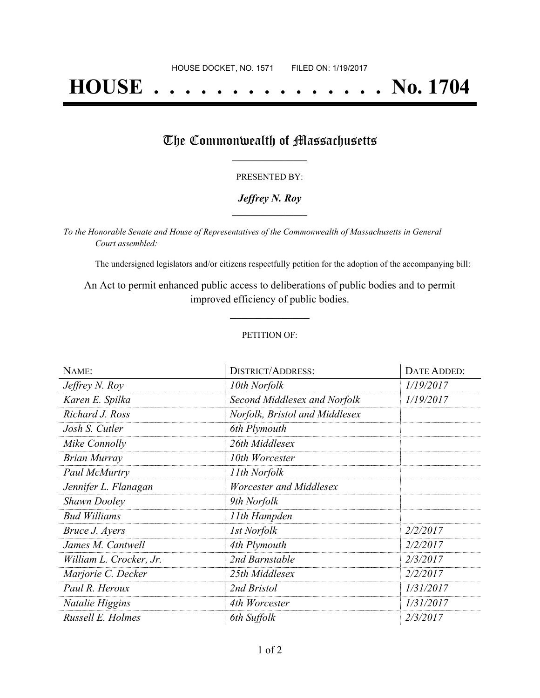# **HOUSE . . . . . . . . . . . . . . . No. 1704**

### The Commonwealth of Massachusetts

#### PRESENTED BY:

#### *Jeffrey N. Roy* **\_\_\_\_\_\_\_\_\_\_\_\_\_\_\_\_\_**

*To the Honorable Senate and House of Representatives of the Commonwealth of Massachusetts in General Court assembled:*

The undersigned legislators and/or citizens respectfully petition for the adoption of the accompanying bill:

An Act to permit enhanced public access to deliberations of public bodies and to permit improved efficiency of public bodies.

**\_\_\_\_\_\_\_\_\_\_\_\_\_\_\_**

#### PETITION OF:

| NAME:                   | <b>DISTRICT/ADDRESS:</b>       | DATE ADDED: |
|-------------------------|--------------------------------|-------------|
| Jeffrey N. Roy          | 10th Norfolk                   | 1/19/2017   |
| Karen E. Spilka         | Second Middlesex and Norfolk   | 1/19/2017   |
| Richard J. Ross         | Norfolk, Bristol and Middlesex |             |
| Josh S. Cutler          | 6th Plymouth                   |             |
| Mike Connolly           | 26th Middlesex                 |             |
| <b>Brian Murray</b>     | 10th Worcester                 |             |
| Paul McMurtry           | 11th Norfolk                   |             |
| Jennifer L. Flanagan    | Worcester and Middlesex        |             |
| <b>Shawn Dooley</b>     | 9th Norfolk                    |             |
| <b>Bud Williams</b>     | 11th Hampden                   |             |
| Bruce J. Ayers          | 1st Norfolk                    | 2/2/2017    |
| James M. Cantwell       | 4th Plymouth                   | 2/2/2017    |
| William L. Crocker, Jr. | 2nd Barnstable                 | 2/3/2017    |
| Marjorie C. Decker      | 25th Middlesex                 | 2/2/2017    |
| Paul R. Heroux          | 2nd Bristol                    | 1/31/2017   |
| Natalie Higgins         | 4th Worcester                  | 1/31/2017   |
| Russell E. Holmes       | 6th Suffolk                    | 2/3/2017    |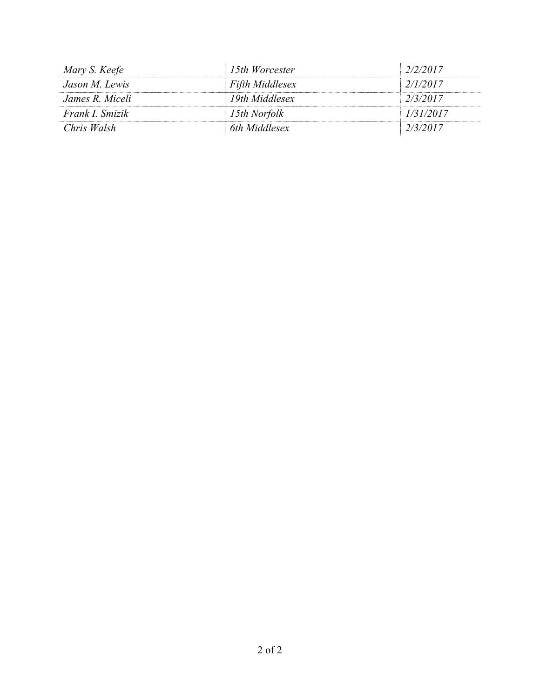| Mary S. Keefe   | 15th Worcester  | 2/2/2017  |
|-----------------|-----------------|-----------|
| Jason M. Lewis  | Fifth Middlesex | 2/1/2017  |
| James R. Miceli | 19th Middlesex  | 2/3/2017  |
| Frank I. Smizik | 15th Norfolk    | 1/31/2017 |
| Chris Walsh     | 6th Middlesex   | 2/3/2017  |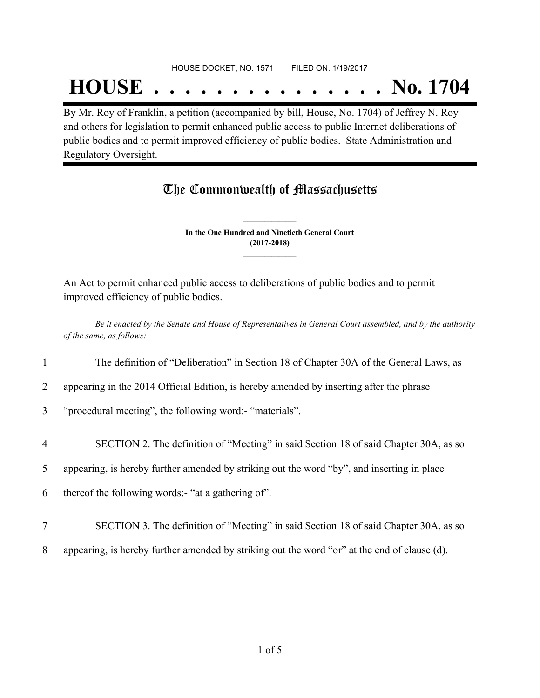#### HOUSE DOCKET, NO. 1571 FILED ON: 1/19/2017

## **HOUSE . . . . . . . . . . . . . . . No. 1704**

By Mr. Roy of Franklin, a petition (accompanied by bill, House, No. 1704) of Jeffrey N. Roy and others for legislation to permit enhanced public access to public Internet deliberations of public bodies and to permit improved efficiency of public bodies. State Administration and Regulatory Oversight.

## The Commonwealth of Massachusetts

**In the One Hundred and Ninetieth General Court (2017-2018) \_\_\_\_\_\_\_\_\_\_\_\_\_\_\_**

**\_\_\_\_\_\_\_\_\_\_\_\_\_\_\_**

An Act to permit enhanced public access to deliberations of public bodies and to permit improved efficiency of public bodies.

Be it enacted by the Senate and House of Representatives in General Court assembled, and by the authority *of the same, as follows:*

- 1 The definition of "Deliberation" in Section 18 of Chapter 30A of the General Laws, as
- 2 appearing in the 2014 Official Edition, is hereby amended by inserting after the phrase

3 "procedural meeting", the following word:- "materials".

4 SECTION 2. The definition of "Meeting" in said Section 18 of said Chapter 30A, as so

5 appearing, is hereby further amended by striking out the word "by", and inserting in place

- 6 thereof the following words:- "at a gathering of".
- 7 SECTION 3. The definition of "Meeting" in said Section 18 of said Chapter 30A, as so
- 8 appearing, is hereby further amended by striking out the word "or" at the end of clause (d).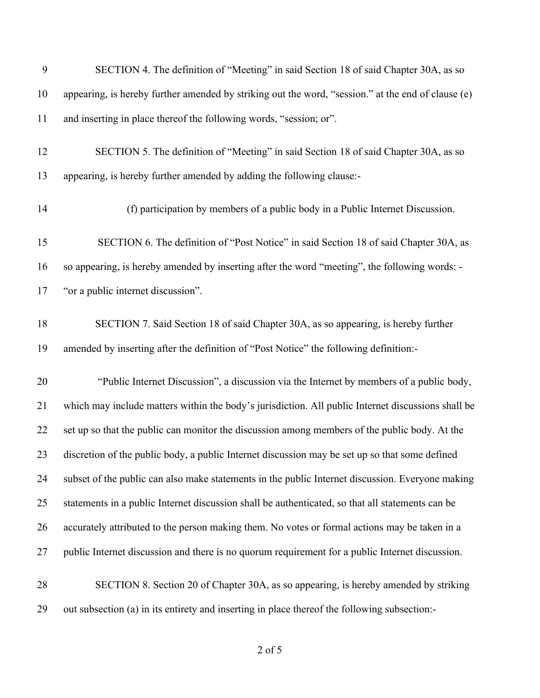| 9  | SECTION 4. The definition of "Meeting" in said Section 18 of said Chapter 30A, as so               |
|----|----------------------------------------------------------------------------------------------------|
| 10 | appearing, is hereby further amended by striking out the word, "session." at the end of clause (e) |
| 11 | and inserting in place thereof the following words, "session; or".                                 |
| 12 | SECTION 5. The definition of "Meeting" in said Section 18 of said Chapter 30A, as so               |
| 13 | appearing, is hereby further amended by adding the following clause:-                              |
| 14 | (f) participation by members of a public body in a Public Internet Discussion.                     |
| 15 | SECTION 6. The definition of "Post Notice" in said Section 18 of said Chapter 30A, as              |
| 16 | so appearing, is hereby amended by inserting after the word "meeting", the following words: -      |
| 17 | "or a public internet discussion".                                                                 |
| 18 | SECTION 7. Said Section 18 of said Chapter 30A, as so appearing, is hereby further                 |
| 19 | amended by inserting after the definition of "Post Notice" the following definition:-              |
| 20 | "Public Internet Discussion", a discussion via the Internet by members of a public body,           |
| 21 | which may include matters within the body's jurisdiction. All public Internet discussions shall be |
| 22 | set up so that the public can monitor the discussion among members of the public body. At the      |
| 23 | discretion of the public body, a public Internet discussion may be set up so that some defined     |
| 24 | subset of the public can also make statements in the public Internet discussion. Everyone making   |
| 25 | statements in a public Internet discussion shall be authenticated, so that all statements can be   |
| 26 | accurately attributed to the person making them. No votes or formal actions may be taken in a      |
| 27 | public Internet discussion and there is no quorum requirement for a public Internet discussion.    |
| 28 | SECTION 8. Section 20 of Chapter 30A, as so appearing, is hereby amended by striking               |
| 29 | out subsection (a) in its entirety and inserting in place thereof the following subsection:-       |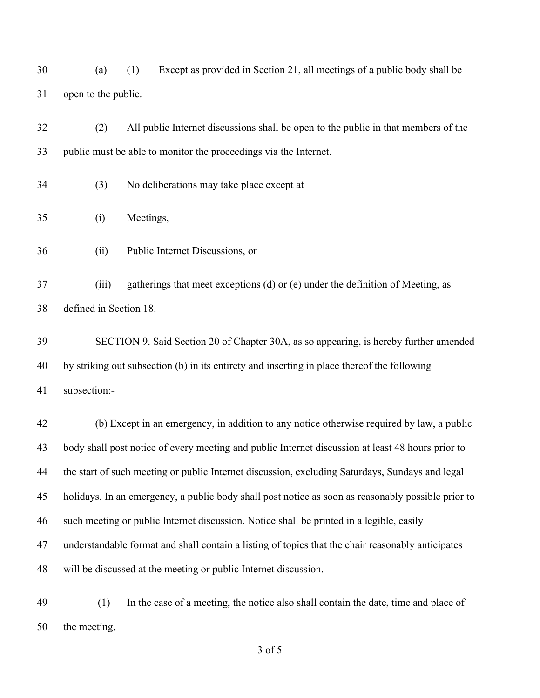(a) (1) Except as provided in Section 21, all meetings of a public body shall be open to the public.

 (2) All public Internet discussions shall be open to the public in that members of the public must be able to monitor the proceedings via the Internet.

- (3) No deliberations may take place except at
- (i) Meetings,
- (ii) Public Internet Discussions, or

 (iii) gatherings that meet exceptions (d) or (e) under the definition of Meeting, as defined in Section 18.

 SECTION 9. Said Section 20 of Chapter 30A, as so appearing, is hereby further amended by striking out subsection (b) in its entirety and inserting in place thereof the following subsection:-

 (b) Except in an emergency, in addition to any notice otherwise required by law, a public body shall post notice of every meeting and public Internet discussion at least 48 hours prior to the start of such meeting or public Internet discussion, excluding Saturdays, Sundays and legal holidays. In an emergency, a public body shall post notice as soon as reasonably possible prior to such meeting or public Internet discussion. Notice shall be printed in a legible, easily understandable format and shall contain a listing of topics that the chair reasonably anticipates will be discussed at the meeting or public Internet discussion.

 (1) In the case of a meeting, the notice also shall contain the date, time and place of the meeting.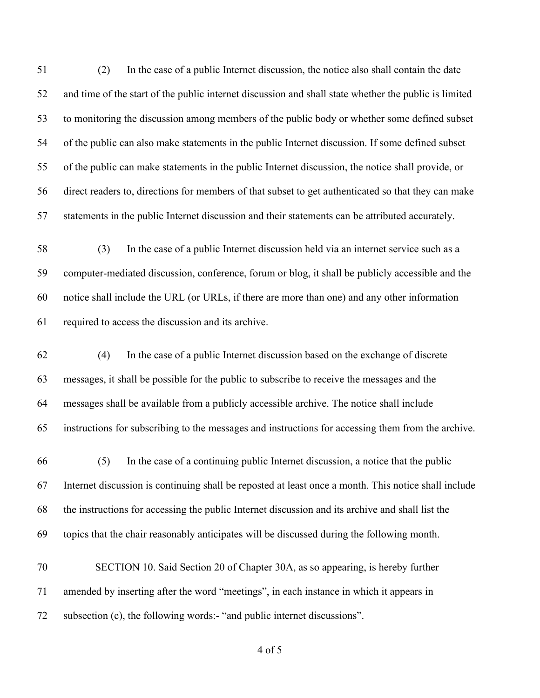(2) In the case of a public Internet discussion, the notice also shall contain the date and time of the start of the public internet discussion and shall state whether the public is limited to monitoring the discussion among members of the public body or whether some defined subset of the public can also make statements in the public Internet discussion. If some defined subset of the public can make statements in the public Internet discussion, the notice shall provide, or direct readers to, directions for members of that subset to get authenticated so that they can make statements in the public Internet discussion and their statements can be attributed accurately.

 (3) In the case of a public Internet discussion held via an internet service such as a computer-mediated discussion, conference, forum or blog, it shall be publicly accessible and the notice shall include the URL (or URLs, if there are more than one) and any other information required to access the discussion and its archive.

 (4) In the case of a public Internet discussion based on the exchange of discrete messages, it shall be possible for the public to subscribe to receive the messages and the messages shall be available from a publicly accessible archive. The notice shall include instructions for subscribing to the messages and instructions for accessing them from the archive.

 (5) In the case of a continuing public Internet discussion, a notice that the public Internet discussion is continuing shall be reposted at least once a month. This notice shall include the instructions for accessing the public Internet discussion and its archive and shall list the topics that the chair reasonably anticipates will be discussed during the following month.

 SECTION 10. Said Section 20 of Chapter 30A, as so appearing, is hereby further amended by inserting after the word "meetings", in each instance in which it appears in subsection (c), the following words:- "and public internet discussions".